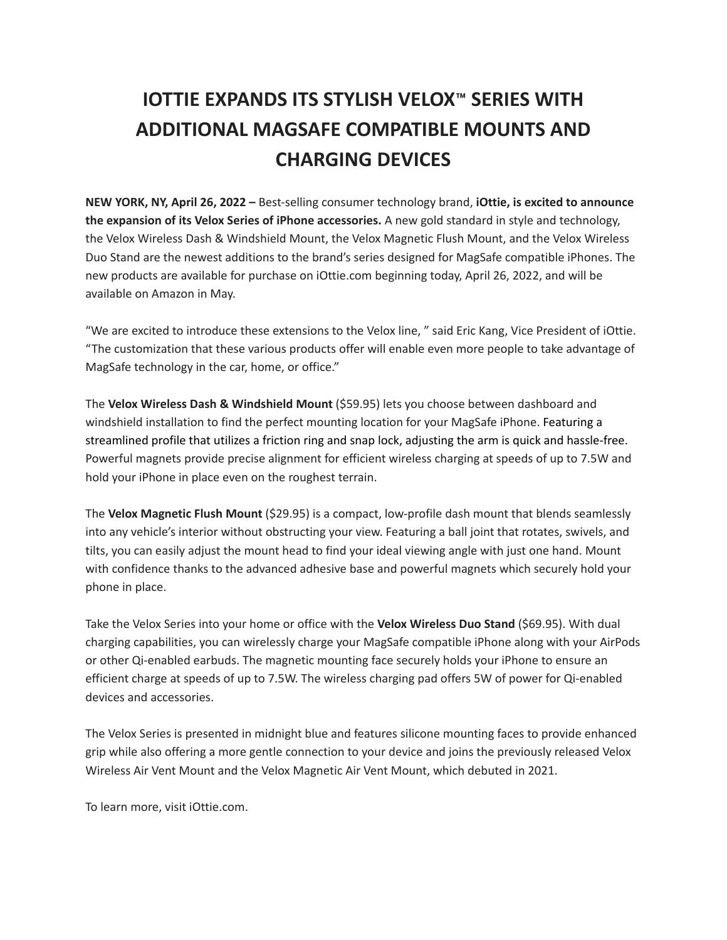## **IOTTIE EXPANDS ITS STYLISH VELOX™ SERIES WITH ADDITIONAL MAGSAFE COMPATIBLE MOUNTS AND CHARGING DEVICES**

**NEW YORK, NY, April 26, 2022 –** Best-selling consumer technology brand, **iOttie, is excited to announce the expansion of its Velox Series of iPhone accessories.** A new gold standard in style and technology, the Velox Wireless Dash & Windshield Mount, the Velox Magnetic Flush Mount, and the Velox Wireless Duo Stand are the newest additions to the brand's series designed for MagSafe compatible iPhones. The new products are available for purchase on iOttie.com beginning today, April 26, 2022, and will be available on Amazon in May.

"We are excited to introduce these extensions to the Velox line, " said Eric Kang, Vice President of iOttie. "The customization that these various products offer will enable even more people to take advantage of MagSafe technology in the car, home, or office."

The **Velox Wireless Dash & Windshield Mount** (\$59.95) lets you choose between dashboard and windshield installation to find the perfect mounting location for your MagSafe iPhone. Featuring a streamlined profile that utilizes a friction ring and snap lock, adjusting the arm is quick and hassle-free. Powerful magnets provide precise alignment for efficient wireless charging at speeds of up to 7.5W and hold your iPhone in place even on the roughest terrain.

The **Velox Magnetic Flush Mount** (\$29.95) is a compact, low-profile dash mount that blends seamlessly into any vehicle's interior without obstructing your view. Featuring a ball joint that rotates, swivels, and tilts, you can easily adjust the mount head to find your ideal viewing angle with just one hand. Mount with confidence thanks to the advanced adhesive base and powerful magnets which securely hold your phone in place.

Take the Velox Series into your home or office with the **Velox Wireless Duo Stand** (\$69.95). With dual charging capabilities, you can wirelessly charge your MagSafe compatible iPhone along with your AirPods or other Qi-enabled earbuds. The magnetic mounting face securely holds your iPhone to ensure an efficient charge at speeds of up to 7.5W. The wireless charging pad offers 5W of power for Qi-enabled devices and accessories.

The Velox Series is presented in midnight blue and features silicone mounting faces to provide enhanced grip while also offering a more gentle connection to your device and joins the previously released Velox Wireless Air Vent Mount and the Velox Magnetic Air Vent Mount, which debuted in 2021.

To learn more, visit iOttie.com.